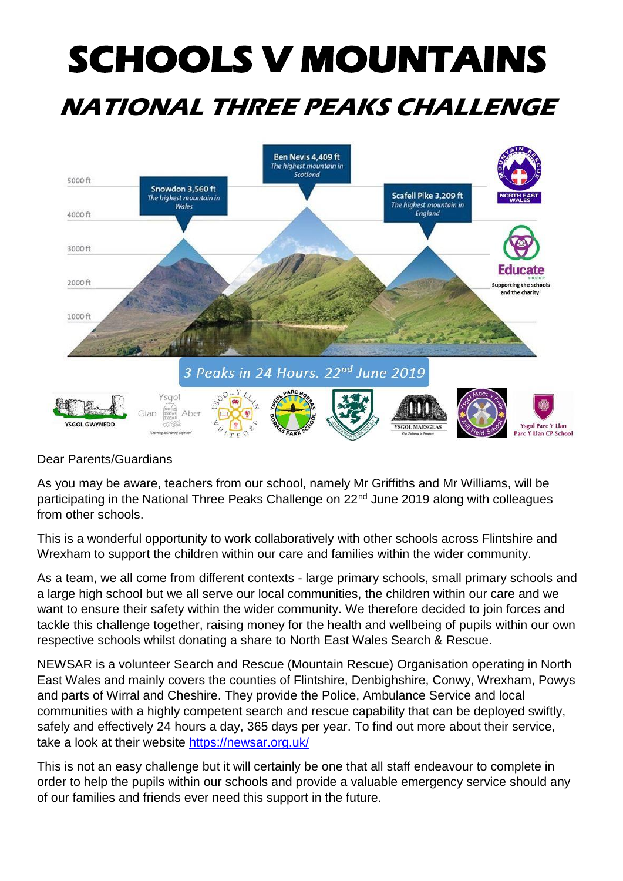## **SCHOOLS V MOUNTAINS NATIONAL THREE PEAKS CHALLENGE**



## Dear Parents/Guardians

As you may be aware, teachers from our school, namely Mr Griffiths and Mr Williams, will be participating in the National Three Peaks Challenge on 22<sup>nd</sup> June 2019 along with colleagues from other schools.

This is a wonderful opportunity to work collaboratively with other schools across Flintshire and Wrexham to support the children within our care and families within the wider community.

As a team, we all come from different contexts - large primary schools, small primary schools and a large high school but we all serve our local communities, the children within our care and we want to ensure their safety within the wider community. We therefore decided to join forces and tackle this challenge together, raising money for the health and wellbeing of pupils within our own respective schools whilst donating a share to North East Wales Search & Rescue.

NEWSAR is a volunteer Search and Rescue (Mountain Rescue) Organisation operating in North East Wales and mainly covers the counties of Flintshire, Denbighshire, Conwy, Wrexham, Powys and parts of Wirral and Cheshire. They provide the Police, Ambulance Service and local communities with a highly competent search and rescue capability that can be deployed swiftly, safely and effectively 24 hours a day, 365 days per year. To find out more about their service, take a look at their website<https://newsar.org.uk/>

This is not an easy challenge but it will certainly be one that all staff endeavour to complete in order to help the pupils within our schools and provide a valuable emergency service should any of our families and friends ever need this support in the future.